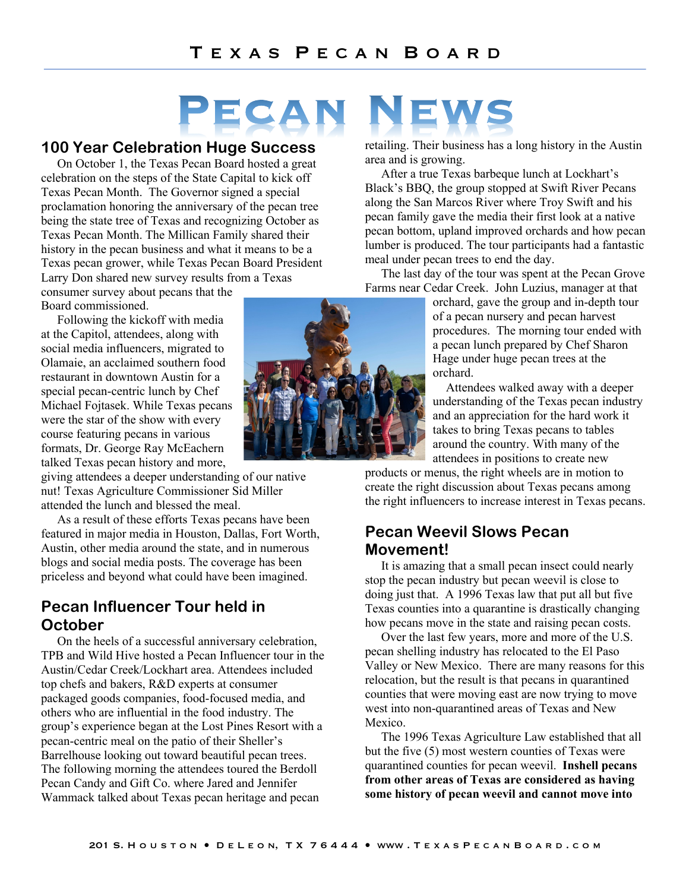# PECAN EWS

#### **100 Year Celebration Huge Success**

On October 1, the Texas Pecan Board hosted a great celebration on the steps of the State Capital to kick off Texas Pecan Month. The Governor signed a special proclamation honoring the anniversary of the pecan tree being the state tree of Texas and recognizing October as Texas Pecan Month. The Millican Family shared their history in the pecan business and what it means to be a Texas pecan grower, while Texas Pecan Board President Larry Don shared new survey results from a Texas

consumer survey about pecans that the Board commissioned.

Following the kickoff with media at the Capitol, attendees, along with social media influencers, migrated to Olamaie, an acclaimed southern food restaurant in downtown Austin for a special pecan-centric lunch by Chef Michael Fojtasek. While Texas pecans were the star of the show with every course featuring pecans in various formats, Dr. George Ray McEachern talked Texas pecan history and more,

giving attendees a deeper understanding of our native nut! Texas Agriculture Commissioner Sid Miller attended the lunch and blessed the meal.

As a result of these efforts Texas pecans have been featured in major media in Houston, Dallas, Fort Worth, Austin, other media around the state, and in numerous blogs and social media posts. The coverage has been priceless and beyond what could have been imagined.

### **Pecan Influencer Tour held in October**

On the heels of a successful anniversary celebration, TPB and Wild Hive hosted a Pecan Influencer tour in the Austin/Cedar Creek/Lockhart area. Attendees included top chefs and bakers, R&D experts at consumer packaged goods companies, food-focused media, and others who are influential in the food industry. The group's experience began at the Lost Pines Resort with a pecan-centric meal on the patio of their Sheller's Barrelhouse looking out toward beautiful pecan trees. The following morning the attendees toured the Berdoll Pecan Candy and Gift Co. where Jared and Jennifer Wammack talked about Texas pecan heritage and pecan



retailing. Their business has a long history in the Austin area and is growing.

After a true Texas barbeque lunch at Lockhart's Black's BBQ, the group stopped at Swift River Pecans along the San Marcos River where Troy Swift and his pecan family gave the media their first look at a native pecan bottom, upland improved orchards and how pecan lumber is produced. The tour participants had a fantastic meal under pecan trees to end the day.

The last day of the tour was spent at the Pecan Grove Farms near Cedar Creek. John Luzius, manager at that

orchard, gave the group and in-depth tour of a pecan nursery and pecan harvest procedures. The morning tour ended with a pecan lunch prepared by Chef Sharon Hage under huge pecan trees at the orchard.

Attendees walked away with a deeper understanding of the Texas pecan industry and an appreciation for the hard work it takes to bring Texas pecans to tables around the country. With many of the attendees in positions to create new

products or menus, the right wheels are in motion to create the right discussion about Texas pecans among the right influencers to increase interest in Texas pecans.

### **Pecan Weevil Slows Pecan Movement!**

It is amazing that a small pecan insect could nearly stop the pecan industry but pecan weevil is close to doing just that. A 1996 Texas law that put all but five Texas counties into a quarantine is drastically changing how pecans move in the state and raising pecan costs.

Over the last few years, more and more of the U.S. pecan shelling industry has relocated to the El Paso Valley or New Mexico. There are many reasons for this relocation, but the result is that pecans in quarantined counties that were moving east are now trying to move west into non-quarantined areas of Texas and New Mexico.

The 1996 Texas Agriculture Law established that all but the five (5) most western counties of Texas were quarantined counties for pecan weevil. **Inshell pecans from other areas of Texas are considered as having some history of pecan weevil and cannot move into**